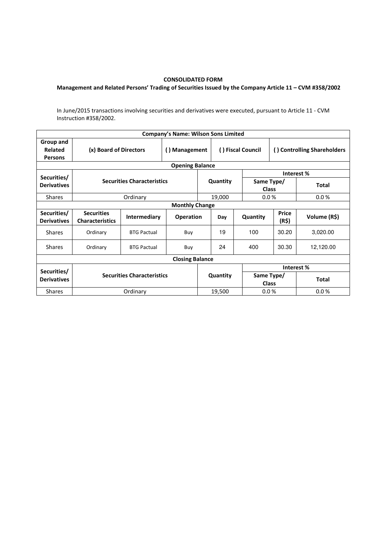## CONSOLIDATED FORM

## Management and Related Persons' Trading of Securities Issued by the Company Article 11 – CVM #358/2002

In June/2015 transactions involving securities and derivatives were executed, pursuant to Article 11 - CVM Instruction #358/2002.

| Company's Name: Wilson Sons Limited    |                                             |                    |               |          |                   |                            |                             |              |  |  |  |
|----------------------------------------|---------------------------------------------|--------------------|---------------|----------|-------------------|----------------------------|-----------------------------|--------------|--|--|--|
| Group and<br>Related<br><b>Persons</b> | (x) Board of Directors                      |                    | () Management |          | () Fiscal Council |                            | () Controlling Shareholders |              |  |  |  |
| <b>Opening Balance</b>                 |                                             |                    |               |          |                   |                            |                             |              |  |  |  |
| Securities/                            | <b>Securities Characteristics</b>           |                    |               | Quantity |                   |                            | Interest %                  |              |  |  |  |
| <b>Derivatives</b>                     |                                             |                    |               |          |                   | Same Type/<br><b>Class</b> |                             | Total        |  |  |  |
| <b>Shares</b>                          |                                             | Ordinary           |               |          | 19,000            | 0.0%                       |                             | 0.0%         |  |  |  |
| <b>Monthly Change</b>                  |                                             |                    |               |          |                   |                            |                             |              |  |  |  |
| Securities/<br><b>Derivatives</b>      | <b>Securities</b><br><b>Characteristics</b> | Intermediary       | Operation     |          | Day               | Quantity                   | Price<br>(R\$)              | Volume (R\$) |  |  |  |
| <b>Shares</b>                          | Ordinary                                    | <b>BTG Pactual</b> | Buy           |          | 19                | 100                        | 30.20                       | 3,020.00     |  |  |  |
| <b>Shares</b>                          | Ordinary                                    | <b>BTG Pactual</b> | Buy           |          | 24                | 400                        | 30.30                       | 12,120.00    |  |  |  |
| <b>Closing Balance</b>                 |                                             |                    |               |          |                   |                            |                             |              |  |  |  |
| Securities/                            |                                             |                    |               |          |                   |                            | Interest %                  |              |  |  |  |
| <b>Derivatives</b>                     | <b>Securities Characteristics</b>           |                    |               | Quantity |                   | Same Type/<br><b>Class</b> |                             | <b>Total</b> |  |  |  |
| <b>Shares</b>                          | Ordinary                                    |                    |               | 19,500   |                   | 0.0%                       |                             | 0.0%         |  |  |  |